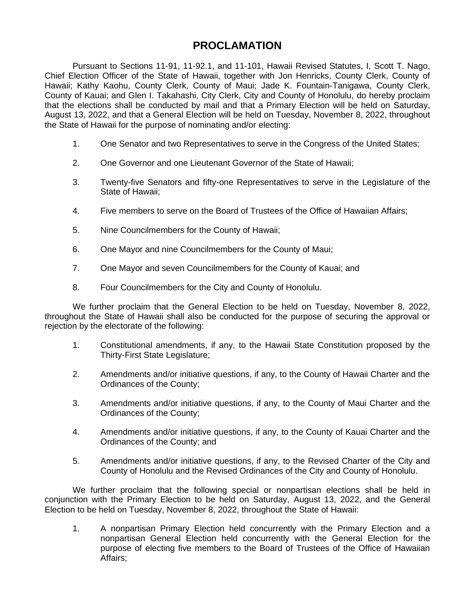# **PROCLAMATION**

Pursuant to Sections 11-91, 11-92.1, and 11-101, Hawaii Revised Statutes, I, Scott T. Nago, Chief Election Officer of the State of Hawaii, together with Jon Henricks, County Clerk, County of Hawaii; Kathy Kaohu, County Clerk, County of Maui; Jade K. Fountain-Tanigawa, County Clerk, County of Kauai; and Glen I. Takahashi, City Clerk, City and County of Honolulu, do hereby proclaim that the elections shall be conducted by mail and that a Primary Election will be held on Saturday, August 13, 2022, and that a General Election will be held on Tuesday, November 8, 2022, throughout the State of Hawaii for the purpose of nominating and/or electing:

- 1. One Senator and two Representatives to serve in the Congress of the United States;
- 2. One Governor and one Lieutenant Governor of the State of Hawaii;
- 3. Twenty-five Senators and fifty-one Representatives to serve in the Legislature of the State of Hawaii;
- 4. Five members to serve on the Board of Trustees of the Office of Hawaiian Affairs;
- 5. Nine Councilmembers for the County of Hawaii;
- 6. One Mayor and nine Councilmembers for the County of Maui;
- 7. One Mayor and seven Councilmembers for the County of Kauai; and
- 8. Four Councilmembers for the City and County of Honolulu.

We further proclaim that the General Election to be held on Tuesday, November 8, 2022, throughout the State of Hawaii shall also be conducted for the purpose of securing the approval or rejection by the electorate of the following:

- 1. Constitutional amendments, if any, to the Hawaii State Constitution proposed by the Thirty-First State Legislature;
- 2. Amendments and/or initiative questions, if any, to the County of Hawaii Charter and the Ordinances of the County;
- 3. Amendments and/or initiative questions, if any, to the County of Maui Charter and the Ordinances of the County;
- 4. Amendments and/or initiative questions, if any, to the County of Kauai Charter and the Ordinances of the County; and
- 5. Amendments and/or initiative questions, if any, to the Revised Charter of the City and County of Honolulu and the Revised Ordinances of the City and County of Honolulu.

We further proclaim that the following special or nonpartisan elections shall be held in conjunction with the Primary Election to be held on Saturday, August 13, 2022, and the General Election to be held on Tuesday, November 8, 2022, throughout the State of Hawaii:

1. A nonpartisan Primary Election held concurrently with the Primary Election and a nonpartisan General Election held concurrently with the General Election for the purpose of electing five members to the Board of Trustees of the Office of Hawaiian Affairs;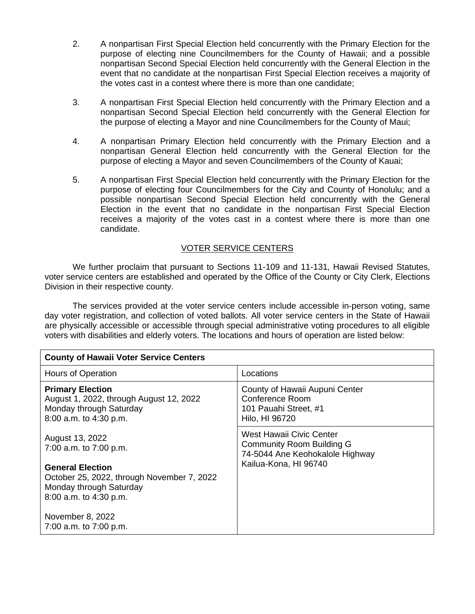- 2. A nonpartisan First Special Election held concurrently with the Primary Election for the purpose of electing nine Councilmembers for the County of Hawaii; and a possible nonpartisan Second Special Election held concurrently with the General Election in the event that no candidate at the nonpartisan First Special Election receives a majority of the votes cast in a contest where there is more than one candidate;
- 3. A nonpartisan First Special Election held concurrently with the Primary Election and a nonpartisan Second Special Election held concurrently with the General Election for the purpose of electing a Mayor and nine Councilmembers for the County of Maui;
- 4. A nonpartisan Primary Election held concurrently with the Primary Election and a nonpartisan General Election held concurrently with the General Election for the purpose of electing a Mayor and seven Councilmembers of the County of Kauai;
- 5. A nonpartisan First Special Election held concurrently with the Primary Election for the purpose of electing four Councilmembers for the City and County of Honolulu; and a possible nonpartisan Second Special Election held concurrently with the General Election in the event that no candidate in the nonpartisan First Special Election receives a majority of the votes cast in a contest where there is more than one candidate.

#### VOTER SERVICE CENTERS

We further proclaim that pursuant to Sections 11-109 and 11-131, Hawaii Revised Statutes, voter service centers are established and operated by the Office of the County or City Clerk, Elections Division in their respective county.

The services provided at the voter service centers include accessible in-person voting, same day voter registration, and collection of voted ballots. All voter service centers in the State of Hawaii are physically accessible or accessible through special administrative voting procedures to all eligible voters with disabilities and elderly voters. The locations and hours of operation are listed below:

| <b>County of Hawaii Voter Service Centers</b>                                                                              |                                                                                                 |  |
|----------------------------------------------------------------------------------------------------------------------------|-------------------------------------------------------------------------------------------------|--|
| Hours of Operation                                                                                                         | Locations                                                                                       |  |
| <b>Primary Election</b><br>August 1, 2022, through August 12, 2022<br>Monday through Saturday<br>8:00 a.m. to 4:30 p.m.    | County of Hawaii Aupuni Center<br>Conference Room<br>101 Pauahi Street, #1<br>Hilo, HI 96720    |  |
| August 13, 2022<br>7:00 a.m. to 7:00 p.m.                                                                                  | West Hawaii Civic Center<br><b>Community Room Building G</b><br>74-5044 Ane Keohokalole Highway |  |
| <b>General Election</b><br>October 25, 2022, through November 7, 2022<br>Monday through Saturday<br>8:00 a.m. to 4:30 p.m. | Kailua-Kona, HI 96740                                                                           |  |
| November 8, 2022<br>7:00 a.m. to 7:00 p.m.                                                                                 |                                                                                                 |  |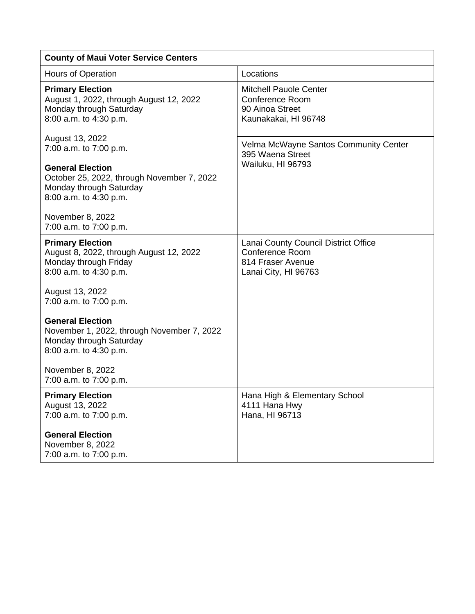| <b>County of Maui Voter Service Centers</b>                                                                                |                                                                                                             |  |
|----------------------------------------------------------------------------------------------------------------------------|-------------------------------------------------------------------------------------------------------------|--|
| <b>Hours of Operation</b>                                                                                                  | Locations                                                                                                   |  |
| <b>Primary Election</b><br>August 1, 2022, through August 12, 2022<br>Monday through Saturday<br>8:00 a.m. to 4:30 p.m.    | <b>Mitchell Pauole Center</b><br><b>Conference Room</b><br>90 Ainoa Street<br>Kaunakakai, HI 96748          |  |
| August 13, 2022<br>7:00 a.m. to 7:00 p.m.                                                                                  | Velma McWayne Santos Community Center<br>395 Waena Street                                                   |  |
| <b>General Election</b><br>October 25, 2022, through November 7, 2022<br>Monday through Saturday<br>8:00 a.m. to 4:30 p.m. | Wailuku, HI 96793                                                                                           |  |
| November 8, 2022<br>7:00 a.m. to 7:00 p.m.                                                                                 |                                                                                                             |  |
| <b>Primary Election</b><br>August 8, 2022, through August 12, 2022<br>Monday through Friday<br>8:00 a.m. to 4:30 p.m.      | Lanai County Council District Office<br><b>Conference Room</b><br>814 Fraser Avenue<br>Lanai City, HI 96763 |  |
| August 13, 2022<br>7:00 a.m. to 7:00 p.m.                                                                                  |                                                                                                             |  |
| <b>General Election</b><br>November 1, 2022, through November 7, 2022<br>Monday through Saturday<br>8:00 a.m. to 4:30 p.m. |                                                                                                             |  |
| November 8, 2022<br>7:00 a.m. to 7:00 p.m.                                                                                 |                                                                                                             |  |
| <b>Primary Election</b><br>August 13, 2022<br>7:00 a.m. to 7:00 p.m.                                                       | Hana High & Elementary School<br>4111 Hana Hwy<br>Hana, HI 96713                                            |  |
| <b>General Election</b><br>November 8, 2022<br>7:00 a.m. to 7:00 p.m.                                                      |                                                                                                             |  |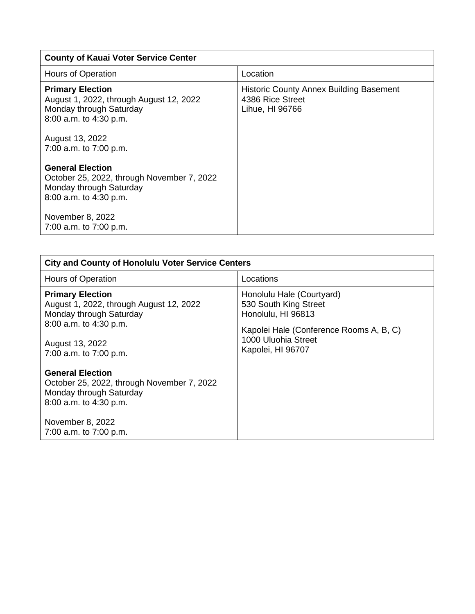| <b>County of Kauai Voter Service Center</b>                                                                                                                              |                                                                                       |  |
|--------------------------------------------------------------------------------------------------------------------------------------------------------------------------|---------------------------------------------------------------------------------------|--|
| Hours of Operation                                                                                                                                                       | Location                                                                              |  |
| <b>Primary Election</b><br>August 1, 2022, through August 12, 2022<br>Monday through Saturday<br>8:00 a.m. to 4:30 p.m.<br>August 13, 2022<br>7:00 a.m. to 7:00 p.m.     | <b>Historic County Annex Building Basement</b><br>4386 Rice Street<br>Lihue, HI 96766 |  |
| <b>General Election</b><br>October 25, 2022, through November 7, 2022<br>Monday through Saturday<br>8:00 a.m. to 4:30 p.m.<br>November 8, 2022<br>7:00 a.m. to 7:00 p.m. |                                                                                       |  |

| <b>City and County of Honolulu Voter Service Centers</b>                                                                   |                                                                                     |  |
|----------------------------------------------------------------------------------------------------------------------------|-------------------------------------------------------------------------------------|--|
| <b>Hours of Operation</b>                                                                                                  | Locations                                                                           |  |
| <b>Primary Election</b><br>August 1, 2022, through August 12, 2022<br>Monday through Saturday                              | Honolulu Hale (Courtyard)<br>530 South King Street<br>Honolulu, HI 96813            |  |
| 8:00 a.m. to 4:30 p.m.<br>August 13, 2022<br>7:00 a.m. to 7:00 p.m.                                                        | Kapolei Hale (Conference Rooms A, B, C)<br>1000 Uluohia Street<br>Kapolei, HI 96707 |  |
| <b>General Election</b><br>October 25, 2022, through November 7, 2022<br>Monday through Saturday<br>8:00 a.m. to 4:30 p.m. |                                                                                     |  |
| November 8, 2022<br>7:00 a.m. to 7:00 p.m.                                                                                 |                                                                                     |  |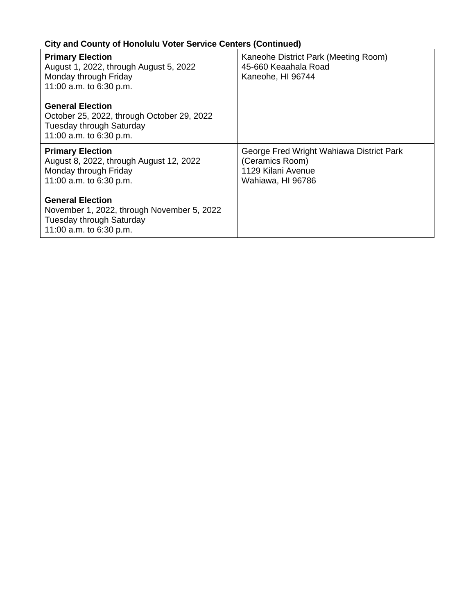# **City and County of Honolulu Voter Service Centers (Continued)**

| <b>Primary Election</b><br>August 1, 2022, through August 5, 2022<br>Monday through Friday<br>11:00 a.m. to 6:30 p.m.               | Kaneohe District Park (Meeting Room)<br>45-660 Keaahala Road<br>Kaneohe, HI 96744                      |
|-------------------------------------------------------------------------------------------------------------------------------------|--------------------------------------------------------------------------------------------------------|
| <b>General Election</b><br>October 25, 2022, through October 29, 2022<br><b>Tuesday through Saturday</b><br>11:00 a.m. to 6:30 p.m. |                                                                                                        |
| <b>Primary Election</b><br>August 8, 2022, through August 12, 2022<br>Monday through Friday<br>11:00 a.m. to 6:30 p.m.              | George Fred Wright Wahiawa District Park<br>(Ceramics Room)<br>1129 Kilani Avenue<br>Wahiawa, HI 96786 |
| <b>General Election</b><br>November 1, 2022, through November 5, 2022<br><b>Tuesday through Saturday</b>                            |                                                                                                        |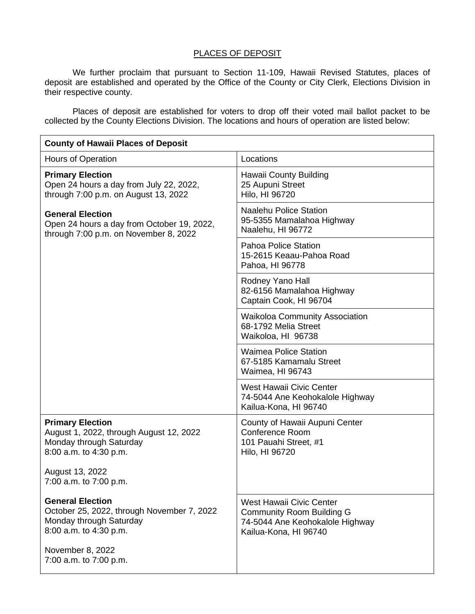#### PLACES OF DEPOSIT

We further proclaim that pursuant to Section 11-109, Hawaii Revised Statutes, places of deposit are established and operated by the Office of the County or City Clerk, Elections Division in their respective county.

Places of deposit are established for voters to drop off their voted mail ballot packet to be collected by the County Elections Division. The locations and hours of operation are listed below:

| <b>County of Hawaii Places of Deposit</b>                                                                                  |                                                                                                                                 |  |
|----------------------------------------------------------------------------------------------------------------------------|---------------------------------------------------------------------------------------------------------------------------------|--|
| <b>Hours of Operation</b>                                                                                                  | Locations                                                                                                                       |  |
| <b>Primary Election</b><br>Open 24 hours a day from July 22, 2022,<br>through 7:00 p.m. on August 13, 2022                 | Hawaii County Building<br>25 Aupuni Street<br>Hilo, HI 96720                                                                    |  |
| <b>General Election</b><br>Open 24 hours a day from October 19, 2022,<br>through 7:00 p.m. on November 8, 2022             | <b>Naalehu Police Station</b><br>95-5355 Mamalahoa Highway<br>Naalehu, HI 96772                                                 |  |
|                                                                                                                            | Pahoa Police Station<br>15-2615 Keaau-Pahoa Road<br>Pahoa, HI 96778                                                             |  |
|                                                                                                                            | Rodney Yano Hall<br>82-6156 Mamalahoa Highway<br>Captain Cook, HI 96704                                                         |  |
|                                                                                                                            | <b>Waikoloa Community Association</b><br>68-1792 Melia Street<br>Waikoloa, HI 96738                                             |  |
|                                                                                                                            | <b>Waimea Police Station</b><br>67-5185 Kamamalu Street<br>Waimea, HI 96743                                                     |  |
|                                                                                                                            | <b>West Hawaii Civic Center</b><br>74-5044 Ane Keohokalole Highway<br>Kailua-Kona, HI 96740                                     |  |
| <b>Primary Election</b><br>August 1, 2022, through August 12, 2022<br>Monday through Saturday<br>8:00 a.m. to 4:30 p.m.    | County of Hawaii Aupuni Center<br><b>Conference Room</b><br>101 Pauahi Street, #1<br>Hilo, HI 96720                             |  |
| August 13, 2022<br>7:00 a.m. to 7:00 p.m.                                                                                  |                                                                                                                                 |  |
| <b>General Election</b><br>October 25, 2022, through November 7, 2022<br>Monday through Saturday<br>8:00 a.m. to 4:30 p.m. | <b>West Hawaii Civic Center</b><br><b>Community Room Building G</b><br>74-5044 Ane Keohokalole Highway<br>Kailua-Kona, HI 96740 |  |
| November 8, 2022<br>7:00 a.m. to 7:00 p.m.                                                                                 |                                                                                                                                 |  |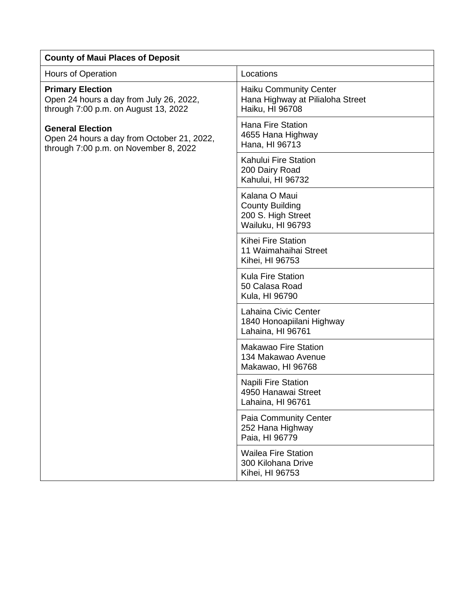| <b>County of Maui Places of Deposit</b>                                                                        |                                                                                      |  |
|----------------------------------------------------------------------------------------------------------------|--------------------------------------------------------------------------------------|--|
| Hours of Operation                                                                                             | Locations                                                                            |  |
| <b>Primary Election</b><br>Open 24 hours a day from July 26, 2022,<br>through 7:00 p.m. on August 13, 2022     | <b>Haiku Community Center</b><br>Hana Highway at Pilialoha Street<br>Haiku, HI 96708 |  |
| <b>General Election</b><br>Open 24 hours a day from October 21, 2022,<br>through 7:00 p.m. on November 8, 2022 | <b>Hana Fire Station</b><br>4655 Hana Highway<br>Hana, HI 96713                      |  |
|                                                                                                                | Kahului Fire Station<br>200 Dairy Road<br>Kahului, HI 96732                          |  |
|                                                                                                                | Kalana O Maui<br><b>County Building</b><br>200 S. High Street<br>Wailuku, HI 96793   |  |
|                                                                                                                | <b>Kihei Fire Station</b><br>11 Waimahaihai Street<br>Kihei, HI 96753                |  |
|                                                                                                                | Kula Fire Station<br>50 Calasa Road<br>Kula, HI 96790                                |  |
|                                                                                                                | Lahaina Civic Center<br>1840 Honoapiilani Highway<br>Lahaina, HI 96761               |  |
|                                                                                                                | <b>Makawao Fire Station</b><br>134 Makawao Avenue<br>Makawao, HI 96768               |  |
|                                                                                                                | <b>Napili Fire Station</b><br>4950 Hanawai Street<br>Lahaina, HI 96761               |  |
|                                                                                                                | Paia Community Center<br>252 Hana Highway<br>Paia, HI 96779                          |  |
|                                                                                                                | <b>Wailea Fire Station</b><br>300 Kilohana Drive<br>Kihei, HI 96753                  |  |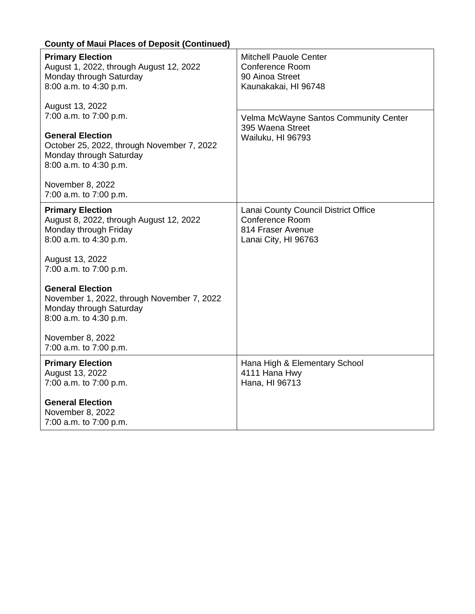| <b>Primary Election</b><br>August 1, 2022, through August 12, 2022<br>Monday through Saturday<br>8:00 a.m. to 4:30 p.m.    | <b>Mitchell Pauole Center</b><br><b>Conference Room</b><br>90 Ainoa Street<br>Kaunakakai, HI 96748          |
|----------------------------------------------------------------------------------------------------------------------------|-------------------------------------------------------------------------------------------------------------|
| August 13, 2022<br>7:00 a.m. to 7:00 p.m.                                                                                  | Velma McWayne Santos Community Center<br>395 Waena Street                                                   |
| <b>General Election</b><br>October 25, 2022, through November 7, 2022<br>Monday through Saturday<br>8:00 a.m. to 4:30 p.m. | Wailuku, HI 96793                                                                                           |
| November 8, 2022<br>7:00 a.m. to 7:00 p.m.                                                                                 |                                                                                                             |
| <b>Primary Election</b><br>August 8, 2022, through August 12, 2022<br>Monday through Friday<br>8:00 a.m. to 4:30 p.m.      | Lanai County Council District Office<br><b>Conference Room</b><br>814 Fraser Avenue<br>Lanai City, HI 96763 |
| August 13, 2022<br>7:00 a.m. to 7:00 p.m.                                                                                  |                                                                                                             |
| <b>General Election</b><br>November 1, 2022, through November 7, 2022<br>Monday through Saturday<br>8:00 a.m. to 4:30 p.m. |                                                                                                             |
| November 8, 2022<br>7:00 a.m. to 7:00 p.m.                                                                                 |                                                                                                             |
| <b>Primary Election</b><br>August 13, 2022<br>7:00 a.m. to 7:00 p.m.                                                       | Hana High & Elementary School<br>4111 Hana Hwy<br>Hana, HI 96713                                            |
| <b>General Election</b><br>November 8, 2022<br>7:00 a.m. to 7:00 p.m.                                                      |                                                                                                             |

### **County of Maui Places of Deposit (Continued)**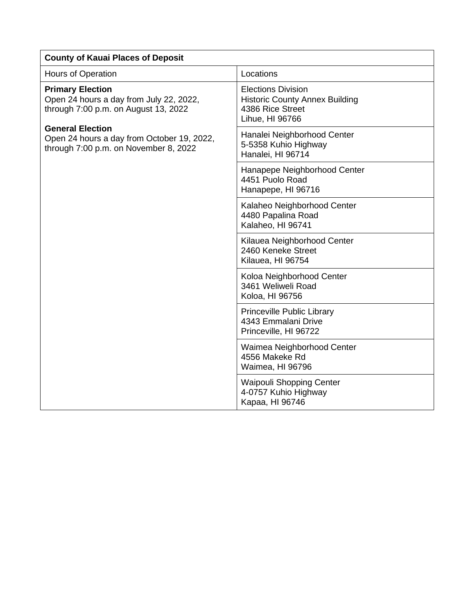| <b>County of Kauai Places of Deposit</b>                                                                                                                                                                                     |                                                                                                           |  |
|------------------------------------------------------------------------------------------------------------------------------------------------------------------------------------------------------------------------------|-----------------------------------------------------------------------------------------------------------|--|
| <b>Hours of Operation</b>                                                                                                                                                                                                    | Locations                                                                                                 |  |
| <b>Primary Election</b><br>Open 24 hours a day from July 22, 2022,<br>through 7:00 p.m. on August 13, 2022<br><b>General Election</b><br>Open 24 hours a day from October 19, 2022,<br>through 7:00 p.m. on November 8, 2022 | <b>Elections Division</b><br><b>Historic County Annex Building</b><br>4386 Rice Street<br>Lihue, HI 96766 |  |
|                                                                                                                                                                                                                              | Hanalei Neighborhood Center<br>5-5358 Kuhio Highway<br>Hanalei, HI 96714                                  |  |
|                                                                                                                                                                                                                              | Hanapepe Neighborhood Center<br>4451 Puolo Road<br>Hanapepe, HI 96716                                     |  |
|                                                                                                                                                                                                                              | Kalaheo Neighborhood Center<br>4480 Papalina Road<br>Kalaheo, HI 96741                                    |  |
|                                                                                                                                                                                                                              | Kilauea Neighborhood Center<br>2460 Keneke Street<br>Kilauea, HI 96754                                    |  |
|                                                                                                                                                                                                                              | Koloa Neighborhood Center<br>3461 Weliweli Road<br>Koloa, HI 96756                                        |  |
|                                                                                                                                                                                                                              | <b>Princeville Public Library</b><br>4343 Emmalani Drive<br>Princeville, HI 96722                         |  |
|                                                                                                                                                                                                                              | Waimea Neighborhood Center<br>4556 Makeke Rd<br>Waimea, HI 96796                                          |  |
|                                                                                                                                                                                                                              | <b>Waipouli Shopping Center</b><br>4-0757 Kuhio Highway<br>Kapaa, HI 96746                                |  |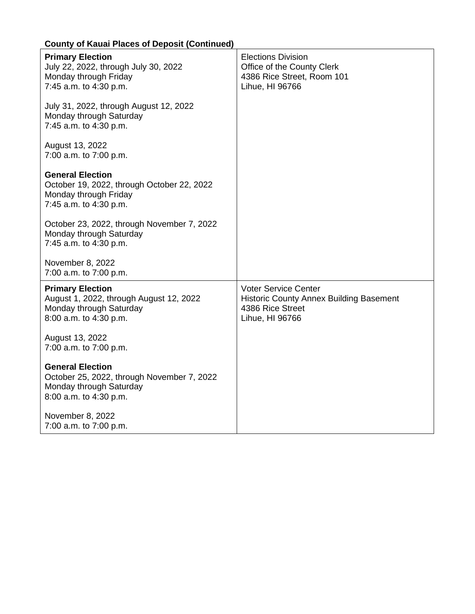| roamy of Haaar Flaooo of Bopoon (commao                                                                                    |                                                                                                                      |
|----------------------------------------------------------------------------------------------------------------------------|----------------------------------------------------------------------------------------------------------------------|
| <b>Primary Election</b><br>July 22, 2022, through July 30, 2022<br>Monday through Friday<br>7:45 a.m. to 4:30 p.m.         | <b>Elections Division</b><br>Office of the County Clerk<br>4386 Rice Street, Room 101<br>Lihue, HI 96766             |
| July 31, 2022, through August 12, 2022<br>Monday through Saturday<br>7:45 a.m. to 4:30 p.m.                                |                                                                                                                      |
| August 13, 2022<br>7:00 a.m. to 7:00 p.m.                                                                                  |                                                                                                                      |
| <b>General Election</b><br>October 19, 2022, through October 22, 2022<br>Monday through Friday<br>7:45 a.m. to 4:30 p.m.   |                                                                                                                      |
| October 23, 2022, through November 7, 2022<br>Monday through Saturday<br>7:45 a.m. to 4:30 p.m.                            |                                                                                                                      |
| November 8, 2022<br>7:00 a.m. to 7:00 p.m.                                                                                 |                                                                                                                      |
| <b>Primary Election</b><br>August 1, 2022, through August 12, 2022<br>Monday through Saturday<br>8:00 a.m. to 4:30 p.m.    | <b>Voter Service Center</b><br><b>Historic County Annex Building Basement</b><br>4386 Rice Street<br>Lihue, HI 96766 |
| August 13, 2022<br>7:00 a.m. to 7:00 p.m.                                                                                  |                                                                                                                      |
| <b>General Election</b><br>October 25, 2022, through November 7, 2022<br>Monday through Saturday<br>8:00 a.m. to 4:30 p.m. |                                                                                                                      |
| November 8, 2022<br>7:00 a.m. to 7:00 p.m.                                                                                 |                                                                                                                      |

### **County of Kauai Places of Deposit (Continued)**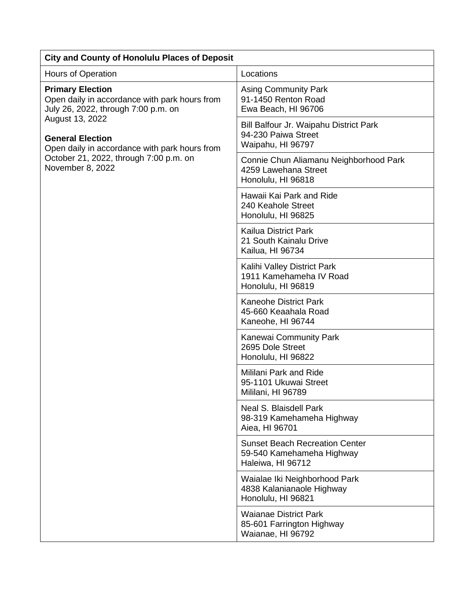| <b>City and County of Honolulu Places of Deposit</b>                                                                                                                                                                                                                         |                                                                                         |  |
|------------------------------------------------------------------------------------------------------------------------------------------------------------------------------------------------------------------------------------------------------------------------------|-----------------------------------------------------------------------------------------|--|
| Hours of Operation                                                                                                                                                                                                                                                           | Locations                                                                               |  |
| <b>Primary Election</b><br>Open daily in accordance with park hours from<br>July 26, 2022, through 7:00 p.m. on<br>August 13, 2022<br><b>General Election</b><br>Open daily in accordance with park hours from<br>October 21, 2022, through 7:00 p.m. on<br>November 8, 2022 | <b>Asing Community Park</b><br>91-1450 Renton Road<br>Ewa Beach, HI 96706               |  |
|                                                                                                                                                                                                                                                                              | Bill Balfour Jr. Waipahu District Park<br>94-230 Paiwa Street<br>Waipahu, HI 96797      |  |
|                                                                                                                                                                                                                                                                              | Connie Chun Aliamanu Neighborhood Park<br>4259 Lawehana Street<br>Honolulu, HI 96818    |  |
|                                                                                                                                                                                                                                                                              | Hawaii Kai Park and Ride<br>240 Keahole Street<br>Honolulu, HI 96825                    |  |
|                                                                                                                                                                                                                                                                              | <b>Kailua District Park</b><br>21 South Kainalu Drive<br>Kailua, HI 96734               |  |
|                                                                                                                                                                                                                                                                              | Kalihi Valley District Park<br>1911 Kamehameha IV Road<br>Honolulu, HI 96819            |  |
|                                                                                                                                                                                                                                                                              | <b>Kaneohe District Park</b><br>45-660 Keaahala Road<br>Kaneohe, HI 96744               |  |
|                                                                                                                                                                                                                                                                              | Kanewai Community Park<br>2695 Dole Street<br>Honolulu, HI 96822                        |  |
|                                                                                                                                                                                                                                                                              | <b>Mililani Park and Ride</b><br>95-1101 Ukuwai Street<br>Mililani, HI 96789            |  |
|                                                                                                                                                                                                                                                                              | Neal S. Blaisdell Park<br>98-319 Kamehameha Highway<br>Aiea, HI 96701                   |  |
|                                                                                                                                                                                                                                                                              | <b>Sunset Beach Recreation Center</b><br>59-540 Kamehameha Highway<br>Haleiwa, HI 96712 |  |
|                                                                                                                                                                                                                                                                              | Waialae Iki Neighborhood Park<br>4838 Kalanianaole Highway<br>Honolulu, HI 96821        |  |
|                                                                                                                                                                                                                                                                              | <b>Waianae District Park</b><br>85-601 Farrington Highway<br>Waianae, HI 96792          |  |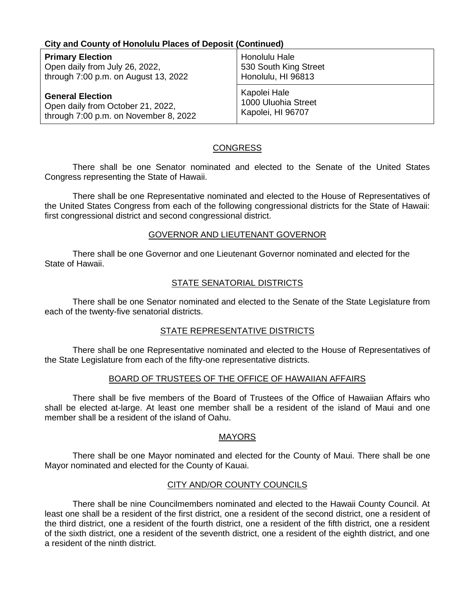#### **City and County of Honolulu Places of Deposit (Continued)**

| <b>Primary Election</b>               | Honolulu Hale         |
|---------------------------------------|-----------------------|
| Open daily from July 26, 2022,        | 530 South King Street |
| through 7:00 p.m. on August 13, 2022  | Honolulu, HI 96813    |
| <b>General Election</b>               | Kapolei Hale          |
| Open daily from October 21, 2022,     | 1000 Uluohia Street   |
| through 7:00 p.m. on November 8, 2022 | Kapolei, HI 96707     |

#### CONGRESS

There shall be one Senator nominated and elected to the Senate of the United States Congress representing the State of Hawaii.

There shall be one Representative nominated and elected to the House of Representatives of the United States Congress from each of the following congressional districts for the State of Hawaii: first congressional district and second congressional district.

#### GOVERNOR AND LIEUTENANT GOVERNOR

There shall be one Governor and one Lieutenant Governor nominated and elected for the State of Hawaii.

#### STATE SENATORIAL DISTRICTS

There shall be one Senator nominated and elected to the Senate of the State Legislature from each of the twenty-five senatorial districts.

#### STATE REPRESENTATIVE DISTRICTS

There shall be one Representative nominated and elected to the House of Representatives of the State Legislature from each of the fifty-one representative districts.

#### BOARD OF TRUSTEES OF THE OFFICE OF HAWAIIAN AFFAIRS

There shall be five members of the Board of Trustees of the Office of Hawaiian Affairs who shall be elected at-large. At least one member shall be a resident of the island of Maui and one member shall be a resident of the island of Oahu.

#### **MAYORS**

There shall be one Mayor nominated and elected for the County of Maui. There shall be one Mayor nominated and elected for the County of Kauai.

#### CITY AND/OR COUNTY COUNCILS

There shall be nine Councilmembers nominated and elected to the Hawaii County Council. At least one shall be a resident of the first district, one a resident of the second district, one a resident of the third district, one a resident of the fourth district, one a resident of the fifth district, one a resident of the sixth district, one a resident of the seventh district, one a resident of the eighth district, and one a resident of the ninth district.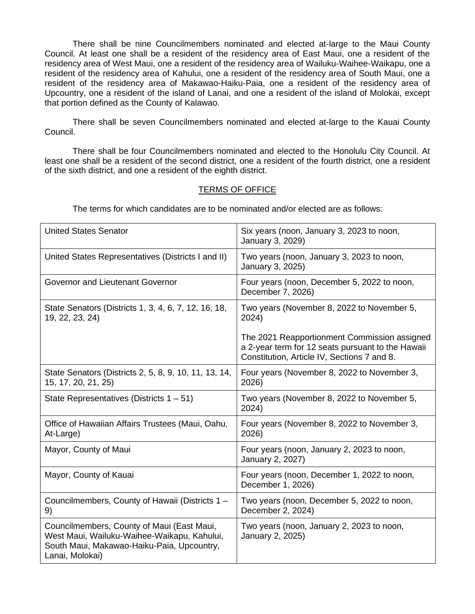There shall be nine Councilmembers nominated and elected at-large to the Maui County Council. At least one shall be a resident of the residency area of East Maui, one a resident of the residency area of West Maui, one a resident of the residency area of Wailuku-Waihee-Waikapu, one a resident of the residency area of Kahului, one a resident of the residency area of South Maui, one a resident of the residency area of Makawao-Haiku-Paia, one a resident of the residency area of Upcountry, one a resident of the island of Lanai, and one a resident of the island of Molokai, except that portion defined as the County of Kalawao.

There shall be seven Councilmembers nominated and elected at-large to the Kauai County Council.

There shall be four Councilmembers nominated and elected to the Honolulu City Council. At least one shall be a resident of the second district, one a resident of the fourth district, one a resident of the sixth district, and one a resident of the eighth district.

#### TERMS OF OFFICE

The terms for which candidates are to be nominated and/or elected are as follows:

| <b>United States Senator</b>                                                                                                                               | Six years (noon, January 3, 2023 to noon,<br>January 3, 2029)                                                                                    |
|------------------------------------------------------------------------------------------------------------------------------------------------------------|--------------------------------------------------------------------------------------------------------------------------------------------------|
| United States Representatives (Districts I and II)                                                                                                         | Two years (noon, January 3, 2023 to noon,<br>January 3, 2025)                                                                                    |
| Governor and Lieutenant Governor                                                                                                                           | Four years (noon, December 5, 2022 to noon,<br>December 7, 2026)                                                                                 |
| State Senators (Districts 1, 3, 4, 6, 7, 12, 16, 18,<br>19, 22, 23, 24)                                                                                    | Two years (November 8, 2022 to November 5,<br>2024)                                                                                              |
|                                                                                                                                                            | The 2021 Reapportionment Commission assigned<br>a 2-year term for 12 seats pursuant to the Hawaii<br>Constitution, Article IV, Sections 7 and 8. |
| State Senators (Districts 2, 5, 8, 9, 10, 11, 13, 14,<br>15, 17, 20, 21, 25)                                                                               | Four years (November 8, 2022 to November 3,<br>2026)                                                                                             |
| State Representatives (Districts $1 - 51$ )                                                                                                                | Two years (November 8, 2022 to November 5,<br>2024)                                                                                              |
| Office of Hawaiian Affairs Trustees (Maui, Oahu,<br>At-Large)                                                                                              | Four years (November 8, 2022 to November 3,<br>2026)                                                                                             |
| Mayor, County of Maui                                                                                                                                      | Four years (noon, January 2, 2023 to noon,<br>January 2, 2027)                                                                                   |
| Mayor, County of Kauai                                                                                                                                     | Four years (noon, December 1, 2022 to noon,<br>December 1, 2026)                                                                                 |
| Councilmembers, County of Hawaii (Districts 1 -<br>9)                                                                                                      | Two years (noon, December 5, 2022 to noon,<br>December 2, 2024)                                                                                  |
| Councilmembers, County of Maui (East Maui,<br>West Maui, Wailuku-Waihee-Waikapu, Kahului,<br>South Maui, Makawao-Haiku-Paia, Upcountry,<br>Lanai, Molokai) | Two years (noon, January 2, 2023 to noon,<br>January 2, 2025)                                                                                    |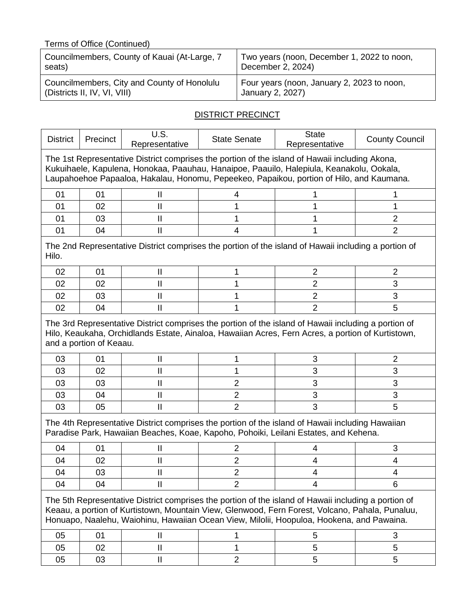| Terms of Office (Continued)                  |                                            |  |  |  |  |
|----------------------------------------------|--------------------------------------------|--|--|--|--|
| Councilmembers, County of Kauai (At-Large, 7 | Two years (noon, December 1, 2022 to noon, |  |  |  |  |
| seats)                                       | December 2, 2024)                          |  |  |  |  |
| Councilmembers, City and County of Honolulu  | Four years (noon, January 2, 2023 to noon, |  |  |  |  |
| (Districts II, IV, VI, VIII)                 | January 2, 2027)                           |  |  |  |  |

## **DISTRICT PRECINCT**

| <b>District</b>                                                                                                                                                                                                                                                                                      | Precinct                | U.S.<br>Representative     | <b>State Senate</b> | <b>State</b><br>Representative                                                                                                                                                           | <b>County Council</b> |  |
|------------------------------------------------------------------------------------------------------------------------------------------------------------------------------------------------------------------------------------------------------------------------------------------------------|-------------------------|----------------------------|---------------------|------------------------------------------------------------------------------------------------------------------------------------------------------------------------------------------|-----------------------|--|
| The 1st Representative District comprises the portion of the island of Hawaii including Akona,<br>Kukuihaele, Kapulena, Honokaa, Paauhau, Hanaipoe, Paauilo, Halepiula, Keanakolu, Ookala,<br>Laupahoehoe Papaaloa, Hakalau, Honomu, Pepeekeo, Papaikou, portion of Hilo, and Kaumana.               |                         |                            |                     |                                                                                                                                                                                          |                       |  |
| 01                                                                                                                                                                                                                                                                                                   | 01                      | Ш                          | 4                   |                                                                                                                                                                                          |                       |  |
| 01                                                                                                                                                                                                                                                                                                   | 02                      | $\mathbf{I}$               | 1                   |                                                                                                                                                                                          |                       |  |
| 01                                                                                                                                                                                                                                                                                                   | 03                      | $\mathbf{I}$               | 1                   | 1                                                                                                                                                                                        | $\overline{2}$        |  |
| 01                                                                                                                                                                                                                                                                                                   | 04                      | $\mathbf{II}$              | $\overline{4}$      |                                                                                                                                                                                          | $\overline{2}$        |  |
| Hilo.                                                                                                                                                                                                                                                                                                |                         |                            |                     | The 2nd Representative District comprises the portion of the island of Hawaii including a portion of                                                                                     |                       |  |
| 02                                                                                                                                                                                                                                                                                                   | 01                      | $\mathbf{I}$               | 1                   | 2                                                                                                                                                                                        | $\overline{2}$        |  |
| 02                                                                                                                                                                                                                                                                                                   | 02                      | $\mathbf{I}$               | 1                   | $\overline{2}$                                                                                                                                                                           | 3                     |  |
| 02                                                                                                                                                                                                                                                                                                   | 03                      | $\mathbf{II}$              | 1                   | $\overline{2}$                                                                                                                                                                           | 3                     |  |
| 02                                                                                                                                                                                                                                                                                                   | 04                      | $\mathbf{I}$               | 1                   | $\overline{2}$                                                                                                                                                                           | 5                     |  |
|                                                                                                                                                                                                                                                                                                      | and a portion of Keaau. |                            |                     | Hilo, Keaukaha, Orchidlands Estate, Ainaloa, Hawaiian Acres, Fern Acres, a portion of Kurtistown,                                                                                        |                       |  |
| 03                                                                                                                                                                                                                                                                                                   | 01                      | $\mathbf{I}$               | 1                   | 3                                                                                                                                                                                        | $\overline{2}$        |  |
| 03                                                                                                                                                                                                                                                                                                   | 02                      | $\mathbf{\mathsf{I}}$      | 1                   | 3                                                                                                                                                                                        | 3                     |  |
| 03                                                                                                                                                                                                                                                                                                   | 03                      | $\mathsf{I}$               | $\overline{2}$      | 3                                                                                                                                                                                        | 3                     |  |
| 03                                                                                                                                                                                                                                                                                                   | 04                      | $\mathbf{I}$               | $\overline{2}$      | 3                                                                                                                                                                                        | 3                     |  |
| 03                                                                                                                                                                                                                                                                                                   | 05                      | $\mathbf{  }$              | $\overline{2}$      | 3                                                                                                                                                                                        | 5                     |  |
|                                                                                                                                                                                                                                                                                                      |                         |                            |                     | The 4th Representative District comprises the portion of the island of Hawaii including Hawaiian<br>Paradise Park, Hawaiian Beaches, Koae, Kapoho, Pohoiki, Leilani Estates, and Kehena. |                       |  |
| 04                                                                                                                                                                                                                                                                                                   | 01                      | $\mathbf{I}$               | 2                   | 4                                                                                                                                                                                        | 3                     |  |
| 04                                                                                                                                                                                                                                                                                                   | 02                      | $\mathsf{I}$               | 2                   | 4                                                                                                                                                                                        | 4                     |  |
| 04                                                                                                                                                                                                                                                                                                   | 03                      | Ш                          | $\overline{2}$      | 4                                                                                                                                                                                        | 4                     |  |
| 04                                                                                                                                                                                                                                                                                                   | 04                      | $\mathbf{II}$              | $\overline{2}$      | 4                                                                                                                                                                                        | 6                     |  |
| The 5th Representative District comprises the portion of the island of Hawaii including a portion of<br>Keaau, a portion of Kurtistown, Mountain View, Glenwood, Fern Forest, Volcano, Pahala, Punaluu,<br>Honuapo, Naalehu, Waiohinu, Hawaiian Ocean View, Milolii, Hoopuloa, Hookena, and Pawaina. |                         |                            |                     |                                                                                                                                                                                          |                       |  |
| 05                                                                                                                                                                                                                                                                                                   | 01                      | $\mathop{\rm II}\nolimits$ | 1                   | 5                                                                                                                                                                                        | 3                     |  |
| 05                                                                                                                                                                                                                                                                                                   | 02                      | $\mathbf{I}$               | 1                   | 5                                                                                                                                                                                        | 5                     |  |
| 05                                                                                                                                                                                                                                                                                                   | 03                      | $\mathbf l$                | $\overline{2}$      | 5                                                                                                                                                                                        | 5                     |  |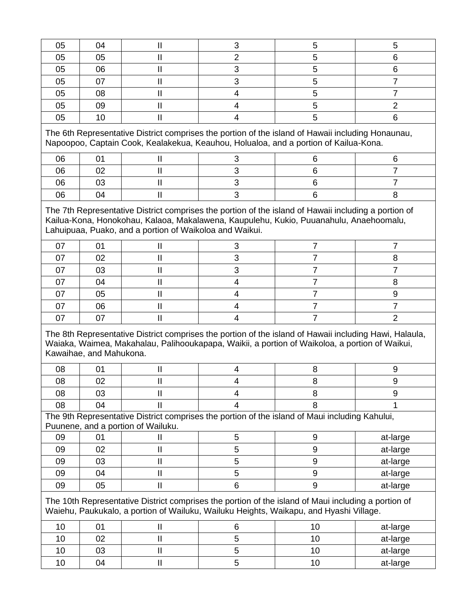| 05 | 04                            | $\mathbf{\mathsf{II}}$             | 3                                                                                                                                                                                                                          | 5              | 5              |
|----|-------------------------------|------------------------------------|----------------------------------------------------------------------------------------------------------------------------------------------------------------------------------------------------------------------------|----------------|----------------|
| 05 | 05                            | $\mathbf{I}$                       | $\overline{2}$                                                                                                                                                                                                             | 5              | 6              |
| 05 | 06                            | $\mathbf{I}$                       | 3                                                                                                                                                                                                                          | 5              | 6              |
| 05 | 07                            | $\mathbf{I}$                       | 3                                                                                                                                                                                                                          | 5              | $\overline{7}$ |
| 05 | 08                            | $\mathbf{I}$                       | 4                                                                                                                                                                                                                          | 5              | $\overline{7}$ |
| 05 | 09                            | $\mathbf{I}$                       | 4                                                                                                                                                                                                                          | 5              | 2              |
| 05 | 10                            | $\mathbf{II}$                      | 4                                                                                                                                                                                                                          | 5              | 6              |
|    |                               |                                    | The 6th Representative District comprises the portion of the island of Hawaii including Honaunau,<br>Napoopoo, Captain Cook, Kealakekua, Keauhou, Holualoa, and a portion of Kailua-Kona.                                  |                |                |
| 06 | 01                            | $\mathbf{I}$                       | 3                                                                                                                                                                                                                          | 6              | 6              |
| 06 | 02                            | $\mathbf{I}$                       | 3                                                                                                                                                                                                                          | 6              | $\overline{7}$ |
| 06 | 03                            | $\mathsf{I}\mathsf{I}$             | 3                                                                                                                                                                                                                          | 6              | $\overline{7}$ |
| 06 | 04                            | $\mathsf{I}\mathsf{I}$             | 3                                                                                                                                                                                                                          | 6              | 8              |
| 07 |                               |                                    |                                                                                                                                                                                                                            |                |                |
|    |                               |                                    |                                                                                                                                                                                                                            |                |                |
|    | 02                            | $\mathbf{I}$                       | 3                                                                                                                                                                                                                          | 7              | 8              |
| 07 | 03                            | $\mathbf{I}$                       | 3                                                                                                                                                                                                                          | 7              | 7              |
| 07 | 04                            | $\mathbf{I}$                       | $\overline{4}$                                                                                                                                                                                                             | $\overline{7}$ | 8              |
| 07 | 05                            | $\mathbf{II}$                      | 4                                                                                                                                                                                                                          | $\overline{7}$ | 9              |
| 07 | 06                            | $\mathbf{I}$                       | $\overline{4}$                                                                                                                                                                                                             | 7              | $\overline{7}$ |
| 07 | 07<br>Kawaihae, and Mahukona. | $\mathbf{I}$                       | $\overline{4}$<br>The 8th Representative District comprises the portion of the island of Hawaii including Hawi, Halaula,<br>Waiaka, Waimea, Makahalau, Palihooukapapa, Waikii, a portion of Waikoloa, a portion of Waikui, | $\overline{7}$ | $\overline{2}$ |
| 08 | 01                            | $\mathbf{I}$                       | 4                                                                                                                                                                                                                          | 8              | 9              |
| 08 | 02                            | $\mathbf{I}$                       | 4                                                                                                                                                                                                                          | 8              | 9              |
| 08 | 03                            | $\mathbf{I}$                       | 4                                                                                                                                                                                                                          | 8              | 9              |
| 08 | 04                            | $\mathop{\rm II}\nolimits$         | $\overline{4}$                                                                                                                                                                                                             | 8              | 1              |
|    |                               | Puunene, and a portion of Wailuku. | The 9th Representative District comprises the portion of the island of Maui including Kahului,                                                                                                                             |                |                |
| 09 | 01                            | $\mathbf{I}$                       | 5                                                                                                                                                                                                                          | 9              | at-large       |

 03 II 5 9 at-large 04 II 5 9 at-large 05 II 6 9 at-large

The 10th Representative District comprises the portion of the island of Maui including a portion of

10 | 01 | II | 6 | 10 | at-large 10 | 02 | II | 5 | 10 | at-large 10 | 03 | II | 5 | 10 | at-large 10 | 04 | II | 5 | 10 | at-large

Waiehu, Paukukalo, a portion of Wailuku, Wailuku Heights, Waikapu, and Hyashi Village.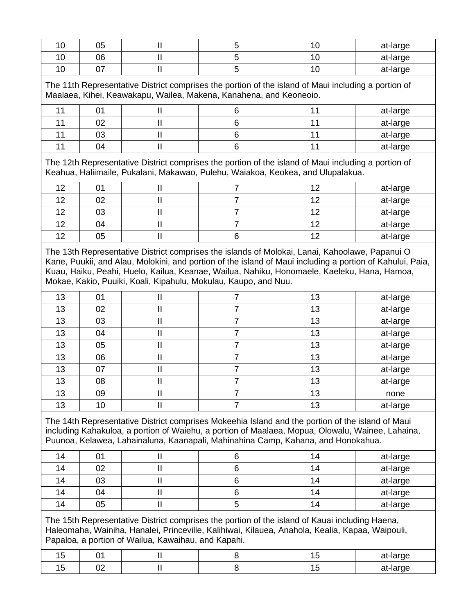| 10 | 05                                                                                                                                                                        | $\mathbf{I}$                                                    | 5              | 10                                                                                                                                                                                                                                                                                                         | at-large |  |  |
|----|---------------------------------------------------------------------------------------------------------------------------------------------------------------------------|-----------------------------------------------------------------|----------------|------------------------------------------------------------------------------------------------------------------------------------------------------------------------------------------------------------------------------------------------------------------------------------------------------------|----------|--|--|
| 10 | 06                                                                                                                                                                        | $\mathbf{I}$                                                    | 5              | 10                                                                                                                                                                                                                                                                                                         | at-large |  |  |
| 10 | 07                                                                                                                                                                        | $\mathbf{I}$                                                    | 5              | 10                                                                                                                                                                                                                                                                                                         | at-large |  |  |
|    | The 11th Representative District comprises the portion of the island of Maui including a portion of<br>Maalaea, Kihei, Keawakapu, Wailea, Makena, Kanahena, and Keoneoio. |                                                                 |                |                                                                                                                                                                                                                                                                                                            |          |  |  |
| 11 | 01                                                                                                                                                                        | $\mathbf{I}$                                                    | 6              | 11                                                                                                                                                                                                                                                                                                         | at-large |  |  |
| 11 | 02                                                                                                                                                                        | $\mathbf{I}$                                                    | 6              | 11                                                                                                                                                                                                                                                                                                         | at-large |  |  |
| 11 | 03                                                                                                                                                                        | $\mathbf{I}$                                                    | 6              | 11                                                                                                                                                                                                                                                                                                         | at-large |  |  |
| 11 | 04                                                                                                                                                                        | $\mathbf{I}$                                                    | 6              | 11                                                                                                                                                                                                                                                                                                         | at-large |  |  |
|    |                                                                                                                                                                           |                                                                 |                | The 12th Representative District comprises the portion of the island of Maui including a portion of<br>Keahua, Haliimaile, Pukalani, Makawao, Pulehu, Waiakoa, Keokea, and Ulupalakua.                                                                                                                     |          |  |  |
| 12 | 01                                                                                                                                                                        | $\ensuremath{\mathsf{II}}$                                      | 7              | 12                                                                                                                                                                                                                                                                                                         | at-large |  |  |
| 12 | 02                                                                                                                                                                        | $\mathbf{I}$                                                    | $\overline{7}$ | 12                                                                                                                                                                                                                                                                                                         | at-large |  |  |
| 12 | 03                                                                                                                                                                        | $\mathbf{I}$                                                    | 7              | 12                                                                                                                                                                                                                                                                                                         | at-large |  |  |
| 12 | 04                                                                                                                                                                        | $\mathbf{I}$                                                    | $\overline{7}$ | 12                                                                                                                                                                                                                                                                                                         | at-large |  |  |
| 12 | 05                                                                                                                                                                        | $\mathbf{I}$                                                    | 6              | 12                                                                                                                                                                                                                                                                                                         | at-large |  |  |
|    |                                                                                                                                                                           | Mokae, Kakio, Puuiki, Koali, Kipahulu, Mokulau, Kaupo, and Nuu. |                | The 13th Representative District comprises the islands of Molokai, Lanai, Kahoolawe, Papanui O<br>Kane, Puukii, and Alau, Molokini, and portion of the island of Maui including a portion of Kahului, Paia,<br>Kuau, Haiku, Peahi, Huelo, Kailua, Keanae, Wailua, Nahiku, Honomaele, Kaeleku, Hana, Hamoa, |          |  |  |
| 13 | 01                                                                                                                                                                        | $\mathbf{I}$                                                    | 7              | 13                                                                                                                                                                                                                                                                                                         | at-large |  |  |
| 13 | 02                                                                                                                                                                        | $\mathbf{I}$                                                    | $\overline{7}$ | 13                                                                                                                                                                                                                                                                                                         | at-large |  |  |
| 13 | 03                                                                                                                                                                        | $\mathbf{I}$                                                    | $\overline{7}$ | 13                                                                                                                                                                                                                                                                                                         | at-large |  |  |
| 13 | 04                                                                                                                                                                        | $\mathbf{I}$                                                    | 7              | 13                                                                                                                                                                                                                                                                                                         | at-large |  |  |
| 13 | 05                                                                                                                                                                        | $\mathbf{I}$                                                    | $\overline{7}$ | 13                                                                                                                                                                                                                                                                                                         | at-large |  |  |
| 13 | 06                                                                                                                                                                        | $\mathbf{I}$                                                    | 7              | 13                                                                                                                                                                                                                                                                                                         | at-large |  |  |
| 13 | 07                                                                                                                                                                        | $\mathbf{  }$                                                   | 7              | 13                                                                                                                                                                                                                                                                                                         | at-large |  |  |
| 13 | 08                                                                                                                                                                        | $\mathbf{  }$                                                   | $\overline{7}$ | 13                                                                                                                                                                                                                                                                                                         | at-large |  |  |
| 13 | 09                                                                                                                                                                        | $\mathbf{I}$                                                    | 7              | 13                                                                                                                                                                                                                                                                                                         | none     |  |  |
| 13 | 10                                                                                                                                                                        | $\mathbf{I}$                                                    | $\overline{7}$ | 13                                                                                                                                                                                                                                                                                                         | at-large |  |  |
|    |                                                                                                                                                                           |                                                                 |                | The 14th Representative District comprises Mokeehia Island and the portion of the island of Maui<br>including Kahakuloa, a portion of Waiehu, a portion of Maalaea, Mopua, Olowalu, Wainee, Lahaina,<br>Puunoa, Kelawea, Lahainaluna, Kaanapali, Mahinahina Camp, Kahana, and Honokahua.                   |          |  |  |
| 14 | 01                                                                                                                                                                        | $\mathbf{I}$                                                    | 6              | 14                                                                                                                                                                                                                                                                                                         | at-large |  |  |
| 14 | 02                                                                                                                                                                        | $\mathbf{I}$                                                    | 6              | 14                                                                                                                                                                                                                                                                                                         | at-large |  |  |
| 14 | 03                                                                                                                                                                        | $\mathbf{I}$                                                    | 6              | 14                                                                                                                                                                                                                                                                                                         | at-large |  |  |
| 14 | 04                                                                                                                                                                        | $\mathbf{I}$                                                    | 6              | 14                                                                                                                                                                                                                                                                                                         | at-large |  |  |
| 14 | 05                                                                                                                                                                        | $\mathbf{I}$                                                    | 5              | 14                                                                                                                                                                                                                                                                                                         | at-large |  |  |
|    |                                                                                                                                                                           | Papaloa, a portion of Wailua, Kawaihau, and Kapahi.             |                | The 15th Representative District comprises the portion of the island of Kauai including Haena,<br>Haleomaha, Wainiha, Hanalei, Princeville, Kalihiwai, Kilauea, Anahola, Kealia, Kapaa, Waipouli,                                                                                                          |          |  |  |
| 15 | 01                                                                                                                                                                        | $\mathbf{I}$                                                    | 8              | 15                                                                                                                                                                                                                                                                                                         | at-large |  |  |
| 15 | 02                                                                                                                                                                        | $\mathbf{I}$                                                    | 8              | 15                                                                                                                                                                                                                                                                                                         | at-large |  |  |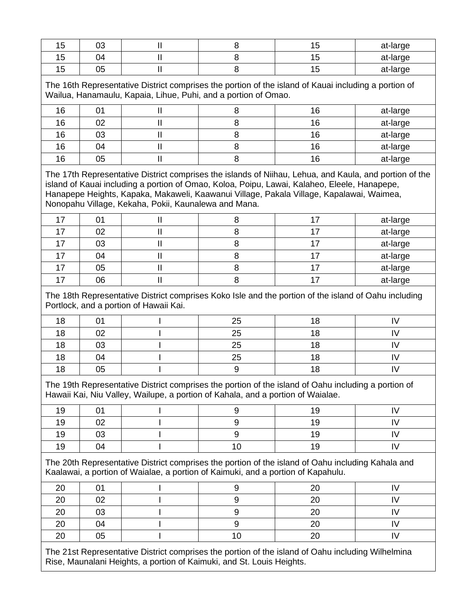| 15                                                                                                                                                                                    | 03 | $\mathbf{  }$                                                                   | 8  | 15                                                                                                                                                                                       | at-large                                                                                               |  |  |
|---------------------------------------------------------------------------------------------------------------------------------------------------------------------------------------|----|---------------------------------------------------------------------------------|----|------------------------------------------------------------------------------------------------------------------------------------------------------------------------------------------|--------------------------------------------------------------------------------------------------------|--|--|
| 15                                                                                                                                                                                    | 04 | $\mathbf{II}$                                                                   | 8  | 15                                                                                                                                                                                       | at-large                                                                                               |  |  |
| 15                                                                                                                                                                                    | 05 | $\mathsf{II}$                                                                   | 8  | 15                                                                                                                                                                                       | at-large                                                                                               |  |  |
| The 16th Representative District comprises the portion of the island of Kauai including a portion of<br>Wailua, Hanamaulu, Kapaia, Lihue, Puhi, and a portion of Omao.                |    |                                                                                 |    |                                                                                                                                                                                          |                                                                                                        |  |  |
| 16                                                                                                                                                                                    | 01 | $\mathbf l$                                                                     | 8  | 16                                                                                                                                                                                       | at-large                                                                                               |  |  |
| 16                                                                                                                                                                                    | 02 | $\mathbf{II}$                                                                   | 8  | 16                                                                                                                                                                                       | at-large                                                                                               |  |  |
| 16                                                                                                                                                                                    | 03 | $\mathbf{I}$                                                                    | 8  | 16                                                                                                                                                                                       | at-large                                                                                               |  |  |
| 16                                                                                                                                                                                    | 04 | $\mathbf{I}$                                                                    | 8  | 16                                                                                                                                                                                       | at-large                                                                                               |  |  |
| 16                                                                                                                                                                                    | 05 | $\mathop{\rm II}\nolimits$                                                      | 8  | 16                                                                                                                                                                                       | at-large                                                                                               |  |  |
|                                                                                                                                                                                       |    | Nonopahu Village, Kekaha, Pokii, Kaunalewa and Mana.                            |    | island of Kauai including a portion of Omao, Koloa, Poipu, Lawai, Kalaheo, Eleele, Hanapepe,<br>Hanapepe Heights, Kapaka, Makaweli, Kaawanui Village, Pakala Village, Kapalawai, Waimea, | The 17th Representative District comprises the islands of Niihau, Lehua, and Kaula, and portion of the |  |  |
| 17                                                                                                                                                                                    | 01 | $\mathbf{I}$                                                                    | 8  | 17                                                                                                                                                                                       | at-large                                                                                               |  |  |
| 17                                                                                                                                                                                    | 02 | $\mathbf{I}$                                                                    | 8  | 17                                                                                                                                                                                       | at-large                                                                                               |  |  |
| 17                                                                                                                                                                                    | 03 | $\mathbf{II}$                                                                   | 8  | 17                                                                                                                                                                                       | at-large                                                                                               |  |  |
| 17                                                                                                                                                                                    | 04 | $\mathbf{I}$                                                                    | 8  | 17                                                                                                                                                                                       | at-large                                                                                               |  |  |
| 17                                                                                                                                                                                    | 05 | $\mathbf{I}$                                                                    | 8  | 17                                                                                                                                                                                       | at-large                                                                                               |  |  |
| 17                                                                                                                                                                                    | 06 | $\mathbf{I}$                                                                    | 8  | 17                                                                                                                                                                                       | at-large                                                                                               |  |  |
|                                                                                                                                                                                       |    | Portlock, and a portion of Hawaii Kai.                                          |    | The 18th Representative District comprises Koko Isle and the portion of the island of Oahu including                                                                                     |                                                                                                        |  |  |
| 18                                                                                                                                                                                    | 01 |                                                                                 | 25 | 18                                                                                                                                                                                       | IV                                                                                                     |  |  |
| 18                                                                                                                                                                                    | 02 |                                                                                 | 25 | 18                                                                                                                                                                                       | IV                                                                                                     |  |  |
| 18                                                                                                                                                                                    | 03 |                                                                                 | 25 | 18                                                                                                                                                                                       | IV                                                                                                     |  |  |
| 18                                                                                                                                                                                    | 04 |                                                                                 | 25 | 18                                                                                                                                                                                       | IV                                                                                                     |  |  |
| 18                                                                                                                                                                                    | 05 |                                                                                 | 9  | 18                                                                                                                                                                                       | IV                                                                                                     |  |  |
|                                                                                                                                                                                       |    | Hawaii Kai, Niu Valley, Wailupe, a portion of Kahala, and a portion of Waialae. |    | The 19th Representative District comprises the portion of the island of Oahu including a portion of                                                                                      |                                                                                                        |  |  |
| 19                                                                                                                                                                                    | 01 |                                                                                 | 9  | 19                                                                                                                                                                                       | IV                                                                                                     |  |  |
| 19                                                                                                                                                                                    | 02 |                                                                                 | 9  | 19                                                                                                                                                                                       | IV                                                                                                     |  |  |
| 19                                                                                                                                                                                    | 03 |                                                                                 | 9  | 19                                                                                                                                                                                       | IV                                                                                                     |  |  |
| 19                                                                                                                                                                                    | 04 |                                                                                 | 10 | 19                                                                                                                                                                                       | IV                                                                                                     |  |  |
| The 20th Representative District comprises the portion of the island of Oahu including Kahala and<br>Kaalawai, a portion of Waialae, a portion of Kaimuki, and a portion of Kapahulu. |    |                                                                                 |    |                                                                                                                                                                                          |                                                                                                        |  |  |
| 20                                                                                                                                                                                    | 01 |                                                                                 | 9  | 20                                                                                                                                                                                       | IV                                                                                                     |  |  |
| 20                                                                                                                                                                                    | 02 | I                                                                               | 9  | 20                                                                                                                                                                                       | IV                                                                                                     |  |  |
| 20                                                                                                                                                                                    | 03 |                                                                                 | 9  | 20                                                                                                                                                                                       | IV                                                                                                     |  |  |
| 20                                                                                                                                                                                    | 04 |                                                                                 | 9  | 20                                                                                                                                                                                       | IV                                                                                                     |  |  |
| 20                                                                                                                                                                                    | 05 |                                                                                 | 10 | 20                                                                                                                                                                                       | IV                                                                                                     |  |  |
| The 21st Representative District comprises the portion of the island of Oahu including Wilhelmina<br>Rise, Maunalani Heights, a portion of Kaimuki, and St. Louis Heights.            |    |                                                                                 |    |                                                                                                                                                                                          |                                                                                                        |  |  |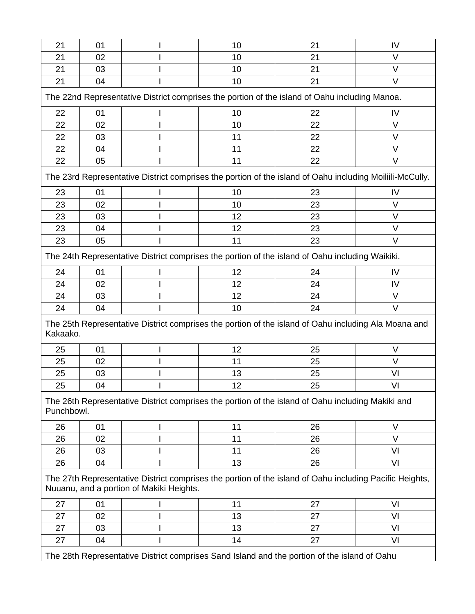| 21                                                                                                                                                  | 01                                                                                           |    | 10 | 21                                                                                                       | IV     |  |  |
|-----------------------------------------------------------------------------------------------------------------------------------------------------|----------------------------------------------------------------------------------------------|----|----|----------------------------------------------------------------------------------------------------------|--------|--|--|
| 21                                                                                                                                                  | 02                                                                                           |    | 10 | 21                                                                                                       | $\vee$ |  |  |
| 21                                                                                                                                                  | 03                                                                                           |    | 10 | 21                                                                                                       | $\vee$ |  |  |
| 21                                                                                                                                                  | 04                                                                                           |    | 10 | 21                                                                                                       | $\vee$ |  |  |
| The 22nd Representative District comprises the portion of the island of Oahu including Manoa.                                                       |                                                                                              |    |    |                                                                                                          |        |  |  |
| 22                                                                                                                                                  | 01                                                                                           |    | 10 | 22                                                                                                       | IV     |  |  |
| 22                                                                                                                                                  | 02                                                                                           |    | 10 | 22                                                                                                       | $\vee$ |  |  |
| 22                                                                                                                                                  | 03                                                                                           |    | 11 | 22                                                                                                       | $\vee$ |  |  |
| 22                                                                                                                                                  | 04                                                                                           |    | 11 | 22                                                                                                       | $\vee$ |  |  |
| 22                                                                                                                                                  | 05                                                                                           |    | 11 | 22                                                                                                       | V      |  |  |
|                                                                                                                                                     |                                                                                              |    |    | The 23rd Representative District comprises the portion of the island of Oahu including Moiliili-McCully. |        |  |  |
| 23                                                                                                                                                  | 01                                                                                           |    | 10 | 23                                                                                                       | IV     |  |  |
| 23                                                                                                                                                  | 02                                                                                           |    | 10 | 23                                                                                                       | $\vee$ |  |  |
| 23                                                                                                                                                  | 03                                                                                           |    | 12 | 23                                                                                                       | V      |  |  |
| 23                                                                                                                                                  | 04                                                                                           |    | 12 | 23                                                                                                       | $\vee$ |  |  |
| 23                                                                                                                                                  | 05                                                                                           |    | 11 | 23                                                                                                       | $\vee$ |  |  |
|                                                                                                                                                     |                                                                                              |    |    | The 24th Representative District comprises the portion of the island of Oahu including Waikiki.          |        |  |  |
| 24                                                                                                                                                  | 01                                                                                           |    | 12 | 24                                                                                                       | IV     |  |  |
| 24                                                                                                                                                  | 02                                                                                           |    | 12 | 24                                                                                                       | IV     |  |  |
| 24                                                                                                                                                  | 03                                                                                           |    | 12 | 24                                                                                                       | $\vee$ |  |  |
| 24                                                                                                                                                  | 04                                                                                           |    | 10 | 24                                                                                                       | $\vee$ |  |  |
| Kakaako.                                                                                                                                            |                                                                                              |    |    | The 25th Representative District comprises the portion of the island of Oahu including Ala Moana and     |        |  |  |
| 25                                                                                                                                                  | 01                                                                                           |    | 12 | 25                                                                                                       | $\vee$ |  |  |
| 25                                                                                                                                                  | 02                                                                                           |    | 11 | 25                                                                                                       | $\vee$ |  |  |
| 25                                                                                                                                                  | 03                                                                                           |    | 13 | 25                                                                                                       | VI     |  |  |
| 25                                                                                                                                                  | 04                                                                                           | J. | 12 | 25                                                                                                       | VI     |  |  |
| Punchbowl.                                                                                                                                          |                                                                                              |    |    | The 26th Representative District comprises the portion of the island of Oahu including Makiki and        |        |  |  |
| 26                                                                                                                                                  | 01                                                                                           |    | 11 | 26                                                                                                       | $\vee$ |  |  |
| 26                                                                                                                                                  | 02                                                                                           |    | 11 | 26                                                                                                       | $\vee$ |  |  |
| 26                                                                                                                                                  | 03                                                                                           |    | 11 | 26                                                                                                       | VI     |  |  |
| 26                                                                                                                                                  | 04                                                                                           |    | 13 | 26                                                                                                       | VI     |  |  |
| The 27th Representative District comprises the portion of the island of Oahu including Pacific Heights,<br>Nuuanu, and a portion of Makiki Heights. |                                                                                              |    |    |                                                                                                          |        |  |  |
| 27                                                                                                                                                  | 01                                                                                           |    | 11 | 27                                                                                                       | VI     |  |  |
| 27                                                                                                                                                  | 02                                                                                           |    | 13 | 27                                                                                                       | VI     |  |  |
| 27                                                                                                                                                  | 03                                                                                           |    | 13 | 27                                                                                                       | VI     |  |  |
| 27                                                                                                                                                  | 04                                                                                           |    | 14 | 27                                                                                                       | VI     |  |  |
|                                                                                                                                                     | The 28th Representative District comprises Sand Island and the portion of the island of Oahu |    |    |                                                                                                          |        |  |  |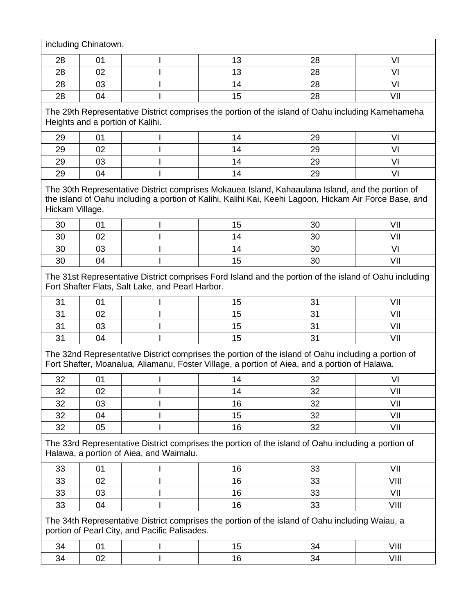|                 | including Chinatown.             |                                                  |    |                                                                                                                                                                                                            |      |
|-----------------|----------------------------------|--------------------------------------------------|----|------------------------------------------------------------------------------------------------------------------------------------------------------------------------------------------------------------|------|
| 28              | 01                               |                                                  | 13 | 28                                                                                                                                                                                                         | VI   |
| 28              | 02                               |                                                  | 13 | 28                                                                                                                                                                                                         | VI   |
| 28              | 03                               |                                                  | 14 | 28                                                                                                                                                                                                         | VI   |
| 28              | 04                               |                                                  | 15 | 28                                                                                                                                                                                                         | VII  |
|                 | Heights and a portion of Kalihi. |                                                  |    | The 29th Representative District comprises the portion of the island of Oahu including Kamehameha                                                                                                          |      |
| 29              | 01                               |                                                  | 14 | 29                                                                                                                                                                                                         | VI   |
| 29              | 02                               |                                                  | 14 | 29                                                                                                                                                                                                         | VI   |
| 29              | 03                               |                                                  | 14 | 29                                                                                                                                                                                                         | VI   |
| 29              | 04                               |                                                  | 14 | 29                                                                                                                                                                                                         | VI   |
| Hickam Village. |                                  |                                                  |    | The 30th Representative District comprises Mokauea Island, Kahaaulana Island, and the portion of<br>the island of Oahu including a portion of Kalihi, Kalihi Kai, Keehi Lagoon, Hickam Air Force Base, and |      |
| 30              | 01                               |                                                  | 15 | 30                                                                                                                                                                                                         | VII  |
| 30              | 02                               |                                                  | 14 | 30                                                                                                                                                                                                         | VII  |
| 30              | 03                               |                                                  | 14 | 30                                                                                                                                                                                                         | VI   |
| 30              | 04                               |                                                  | 15 | 30                                                                                                                                                                                                         | VII  |
|                 |                                  | Fort Shafter Flats, Salt Lake, and Pearl Harbor. |    | The 31st Representative District comprises Ford Island and the portion of the island of Oahu including                                                                                                     |      |
| 31              | 01                               |                                                  | 15 | 31                                                                                                                                                                                                         | VII  |
| 31              | 02                               |                                                  | 15 | 31                                                                                                                                                                                                         | VII  |
| 31              | 03                               |                                                  | 15 | 31                                                                                                                                                                                                         | VII  |
| 31              | 04                               |                                                  | 15 | 31                                                                                                                                                                                                         | VII  |
|                 |                                  |                                                  |    | The 32nd Representative District comprises the portion of the island of Oahu including a portion of<br>Fort Shafter, Moanalua, Aliamanu, Foster Village, a portion of Aiea, and a portion of Halawa.       |      |
| 32              | 01                               |                                                  | 14 | 32                                                                                                                                                                                                         | VI   |
| 32              | 02                               |                                                  | 14 | 32                                                                                                                                                                                                         | VII  |
| 32              | 03                               |                                                  | 16 | 32                                                                                                                                                                                                         | VII  |
| 32              | 04                               |                                                  | 15 | 32                                                                                                                                                                                                         | VII  |
| 32              | 05                               |                                                  | 16 | 32                                                                                                                                                                                                         | VII  |
|                 |                                  | Halawa, a portion of Aiea, and Waimalu.          |    | The 33rd Representative District comprises the portion of the island of Oahu including a portion of                                                                                                        |      |
| 33              | 01                               |                                                  | 16 | 33                                                                                                                                                                                                         | VII  |
| 33              | 02                               |                                                  | 16 | 33                                                                                                                                                                                                         | VIII |
| 33              | 03                               |                                                  | 16 | 33                                                                                                                                                                                                         | VII  |
| 33              | 04                               |                                                  | 16 | 33                                                                                                                                                                                                         | VIII |
|                 |                                  | portion of Pearl City, and Pacific Palisades.    |    | The 34th Representative District comprises the portion of the island of Oahu including Waiau, a                                                                                                            |      |
| 34              | 01                               |                                                  | 15 | 34                                                                                                                                                                                                         | VIII |
| 34              | 02                               |                                                  | 16 | 34                                                                                                                                                                                                         | VIII |
|                 |                                  |                                                  |    |                                                                                                                                                                                                            |      |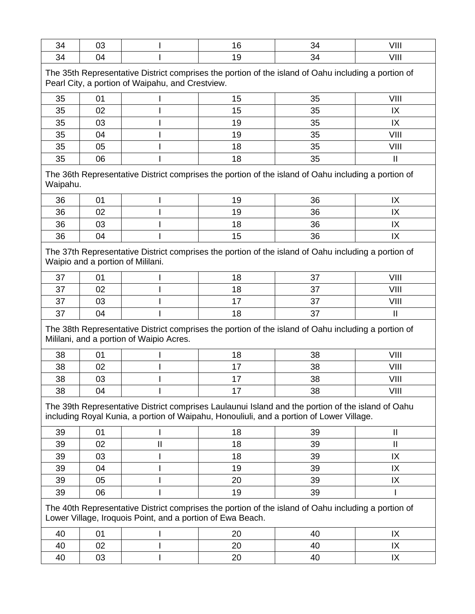| 34                                                                                                                                                      | 03 |                                                                                                                                                                                               | 16 | 34 | VIII          |  |
|---------------------------------------------------------------------------------------------------------------------------------------------------------|----|-----------------------------------------------------------------------------------------------------------------------------------------------------------------------------------------------|----|----|---------------|--|
| 34                                                                                                                                                      | 04 |                                                                                                                                                                                               | 19 | 34 | VIII          |  |
| The 35th Representative District comprises the portion of the island of Oahu including a portion of<br>Pearl City, a portion of Waipahu, and Crestview. |    |                                                                                                                                                                                               |    |    |               |  |
| 35                                                                                                                                                      | 01 |                                                                                                                                                                                               | 15 | 35 | VIII          |  |
| 35                                                                                                                                                      | 02 |                                                                                                                                                                                               | 15 | 35 | IX            |  |
| 35                                                                                                                                                      | 03 |                                                                                                                                                                                               | 19 | 35 | IX            |  |
| 35                                                                                                                                                      | 04 |                                                                                                                                                                                               | 19 | 35 | VIII          |  |
| 35                                                                                                                                                      | 05 |                                                                                                                                                                                               | 18 | 35 | VIII          |  |
| 35                                                                                                                                                      | 06 |                                                                                                                                                                                               | 18 | 35 | $\mathbf{I}$  |  |
| Waipahu.                                                                                                                                                |    | The 36th Representative District comprises the portion of the island of Oahu including a portion of                                                                                           |    |    |               |  |
| 36                                                                                                                                                      | 01 |                                                                                                                                                                                               | 19 | 36 | IX            |  |
| 36                                                                                                                                                      | 02 |                                                                                                                                                                                               | 19 | 36 | IX            |  |
| 36                                                                                                                                                      | 03 |                                                                                                                                                                                               | 18 | 36 | IX            |  |
| 36                                                                                                                                                      | 04 |                                                                                                                                                                                               | 15 | 36 | IX            |  |
|                                                                                                                                                         |    | The 37th Representative District comprises the portion of the island of Oahu including a portion of<br>Waipio and a portion of Mililani.                                                      |    |    |               |  |
| 37                                                                                                                                                      | 01 |                                                                                                                                                                                               | 18 | 37 | VIII          |  |
| 37                                                                                                                                                      | 02 |                                                                                                                                                                                               | 18 | 37 | VIII          |  |
| 37                                                                                                                                                      | 03 |                                                                                                                                                                                               | 17 | 37 | VIII          |  |
| 37                                                                                                                                                      | 04 |                                                                                                                                                                                               | 18 | 37 | $\mathbf{I}$  |  |
|                                                                                                                                                         |    | The 38th Representative District comprises the portion of the island of Oahu including a portion of<br>Mililani, and a portion of Waipio Acres.                                               |    |    |               |  |
| 38                                                                                                                                                      | 01 |                                                                                                                                                                                               | 18 | 38 | VIII          |  |
| 38                                                                                                                                                      | 02 |                                                                                                                                                                                               | 17 | 38 | VIII          |  |
| 38                                                                                                                                                      | 03 |                                                                                                                                                                                               | 17 | 38 | VIII          |  |
| 38                                                                                                                                                      | 04 |                                                                                                                                                                                               | 17 | 38 | VIII          |  |
|                                                                                                                                                         |    | The 39th Representative District comprises Laulaunui Island and the portion of the island of Oahu<br>including Royal Kunia, a portion of Waipahu, Honouliuli, and a portion of Lower Village. |    |    |               |  |
| 39                                                                                                                                                      | 01 |                                                                                                                                                                                               | 18 | 39 | $\mathbf{I}$  |  |
| 39                                                                                                                                                      | 02 | $\mathsf{I}\mathsf{I}$                                                                                                                                                                        | 18 | 39 | $\mathbf{  }$ |  |
| 39                                                                                                                                                      | 03 |                                                                                                                                                                                               | 18 | 39 | IX            |  |
| 39                                                                                                                                                      | 04 |                                                                                                                                                                                               | 19 | 39 | IX            |  |
| 39                                                                                                                                                      | 05 |                                                                                                                                                                                               | 20 | 39 | IX            |  |
| 39                                                                                                                                                      | 06 |                                                                                                                                                                                               | 19 | 39 |               |  |
|                                                                                                                                                         |    | The 40th Representative District comprises the portion of the island of Oahu including a portion of<br>Lower Village, Iroquois Point, and a portion of Ewa Beach.                             |    |    |               |  |
| 40                                                                                                                                                      | 01 |                                                                                                                                                                                               | 20 | 40 | IX            |  |
| 40                                                                                                                                                      | 02 |                                                                                                                                                                                               | 20 | 40 | IX            |  |
| 40                                                                                                                                                      | 03 |                                                                                                                                                                                               | 20 | 40 | IX            |  |
|                                                                                                                                                         |    |                                                                                                                                                                                               |    |    |               |  |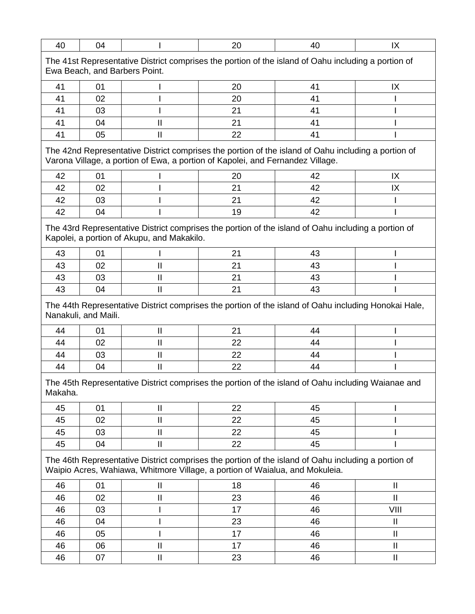| 40                                                                                                                                                                                    | 04                                                                                                                                   |                                            | 20 | 40                                                                                                   | IX                                    |  |  |  |
|---------------------------------------------------------------------------------------------------------------------------------------------------------------------------------------|--------------------------------------------------------------------------------------------------------------------------------------|--------------------------------------------|----|------------------------------------------------------------------------------------------------------|---------------------------------------|--|--|--|
|                                                                                                                                                                                       | The 41st Representative District comprises the portion of the island of Oahu including a portion of<br>Ewa Beach, and Barbers Point. |                                            |    |                                                                                                      |                                       |  |  |  |
| 41                                                                                                                                                                                    | 01                                                                                                                                   |                                            | 20 | 41                                                                                                   | IX                                    |  |  |  |
| 41                                                                                                                                                                                    | 02                                                                                                                                   |                                            | 20 | 41                                                                                                   |                                       |  |  |  |
| 41                                                                                                                                                                                    | 03                                                                                                                                   |                                            | 21 | 41                                                                                                   |                                       |  |  |  |
| 41                                                                                                                                                                                    | 04                                                                                                                                   | II                                         | 21 | 41                                                                                                   |                                       |  |  |  |
| 41                                                                                                                                                                                    | 05                                                                                                                                   | $\mathbf{I}$                               | 22 | 41                                                                                                   |                                       |  |  |  |
| The 42nd Representative District comprises the portion of the island of Oahu including a portion of<br>Varona Village, a portion of Ewa, a portion of Kapolei, and Fernandez Village. |                                                                                                                                      |                                            |    |                                                                                                      |                                       |  |  |  |
| 42                                                                                                                                                                                    | 01                                                                                                                                   |                                            | 20 | 42                                                                                                   | IX                                    |  |  |  |
| 42                                                                                                                                                                                    | 02                                                                                                                                   |                                            | 21 | 42                                                                                                   | IX                                    |  |  |  |
| 42                                                                                                                                                                                    | 03                                                                                                                                   |                                            | 21 | 42                                                                                                   |                                       |  |  |  |
| 42                                                                                                                                                                                    | 04                                                                                                                                   |                                            | 19 | 42                                                                                                   |                                       |  |  |  |
|                                                                                                                                                                                       |                                                                                                                                      | Kapolei, a portion of Akupu, and Makakilo. |    | The 43rd Representative District comprises the portion of the island of Oahu including a portion of  |                                       |  |  |  |
| 43                                                                                                                                                                                    | 01                                                                                                                                   |                                            | 21 | 43                                                                                                   |                                       |  |  |  |
| 43                                                                                                                                                                                    | 02                                                                                                                                   | Ш                                          | 21 | 43                                                                                                   |                                       |  |  |  |
| 43                                                                                                                                                                                    | 03                                                                                                                                   | Ш                                          | 21 | 43                                                                                                   |                                       |  |  |  |
| 43                                                                                                                                                                                    | 04                                                                                                                                   | $\mathbf{I}$                               | 21 | 43                                                                                                   |                                       |  |  |  |
|                                                                                                                                                                                       | Nanakuli, and Maili.                                                                                                                 |                                            |    | The 44th Representative District comprises the portion of the island of Oahu including Honokai Hale, |                                       |  |  |  |
| 44                                                                                                                                                                                    | 01                                                                                                                                   | $\mathbf{\mathsf{I}}$                      | 21 | 44                                                                                                   |                                       |  |  |  |
| 44                                                                                                                                                                                    | 02                                                                                                                                   | $\mathbf{I}$                               | 22 | 44                                                                                                   |                                       |  |  |  |
| 44                                                                                                                                                                                    | 03                                                                                                                                   | $\mathbf{I}$                               | 22 | 44                                                                                                   |                                       |  |  |  |
| 44                                                                                                                                                                                    | 04                                                                                                                                   | $\mathbf{I}$                               | 22 | 44                                                                                                   |                                       |  |  |  |
| Makaha.                                                                                                                                                                               |                                                                                                                                      |                                            |    | The 45th Representative District comprises the portion of the island of Oahu including Waianae and   |                                       |  |  |  |
| 45                                                                                                                                                                                    | 01                                                                                                                                   | $\mathbf{  }$                              | 22 | 45                                                                                                   |                                       |  |  |  |
| 45                                                                                                                                                                                    | 02                                                                                                                                   | $\mathbf{I}$                               | 22 | 45                                                                                                   |                                       |  |  |  |
| 45                                                                                                                                                                                    | 03                                                                                                                                   | Ш                                          | 22 | 45                                                                                                   |                                       |  |  |  |
| 45                                                                                                                                                                                    | 04                                                                                                                                   | $\mathbf{I}$                               | 22 | 45                                                                                                   |                                       |  |  |  |
| The 46th Representative District comprises the portion of the island of Oahu including a portion of<br>Waipio Acres, Wahiawa, Whitmore Village, a portion of Waialua, and Mokuleia.   |                                                                                                                                      |                                            |    |                                                                                                      |                                       |  |  |  |
| 46                                                                                                                                                                                    | 01                                                                                                                                   | $\mathbf{  }$                              | 18 | 46                                                                                                   | $\mathbf{I}$                          |  |  |  |
| 46                                                                                                                                                                                    | 02                                                                                                                                   | $\sf II$                                   | 23 | 46                                                                                                   | $\mathbf{H}$                          |  |  |  |
| 46                                                                                                                                                                                    | 03                                                                                                                                   |                                            | 17 | 46                                                                                                   | VIII                                  |  |  |  |
| 46                                                                                                                                                                                    | 04                                                                                                                                   |                                            | 23 | 46                                                                                                   | Ш                                     |  |  |  |
| 46                                                                                                                                                                                    | 05                                                                                                                                   |                                            | 17 | 46                                                                                                   | $\ensuremath{\mathsf{II}}$            |  |  |  |
| 46                                                                                                                                                                                    | 06                                                                                                                                   | $\mathbf{  }$                              | 17 | 46                                                                                                   | $\begin{array}{c} \hline \end{array}$ |  |  |  |
| 46                                                                                                                                                                                    | 07                                                                                                                                   | $\ensuremath{\mathsf{II}}$                 | 23 | 46                                                                                                   | $\mathbf{II}$                         |  |  |  |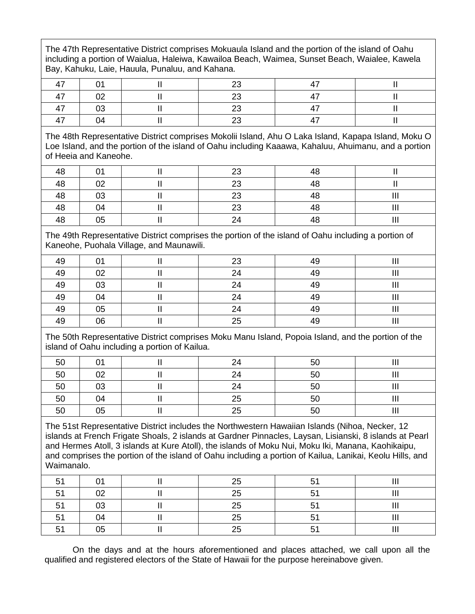The 47th Representative District comprises Mokuaula Island and the portion of the island of Oahu including a portion of Waialua, Haleiwa, Kawailoa Beach, Waimea, Sunset Beach, Waialee, Kawela Bay, Kahuku, Laie, Hauula, Punaluu, and Kahana.

| $\rightarrow$            |    | ົ |  |
|--------------------------|----|---|--|
| $\overline{\phantom{a}}$ | 02 | ົ |  |
| $\overline{a}$           | 03 | ົ |  |
| $\overline{\phantom{a}}$ | 04 |   |  |

The 48th Representative District comprises Mokolii Island, Ahu O Laka Island, Kapapa Island, Moku O Loe Island, and the portion of the island of Oahu including Kaaawa, Kahaluu, Ahuimanu, and a portion of Heeia and Kaneohe.

| 48 | $\mathsf{A}$   | ററ<br>້  | 48 |                |
|----|----------------|----------|----|----------------|
| 48 | O <sub>2</sub> | ററ<br>∠∪ | 48 |                |
| 48 | 03             | ററ<br>້  | 48 | Ш              |
| 48 | 04             | ററ<br>∠∪ | 48 | $\mathbf{III}$ |
| 48 | 05             | 24       | 48 | Ш              |

The 49th Representative District comprises the portion of the island of Oahu including a portion of Kaneohe, Puohala Village, and Maunawili.

| 49 | 01 | 23 | 49 | Ш |
|----|----|----|----|---|
| 49 | 02 | 24 | 49 | Ш |
| 49 | 03 | 24 | 49 | Ш |
| 49 | 04 | 24 | 49 | Ш |
| 49 | 05 | 24 | 49 | Ш |
| 49 | 06 | 25 | 49 | Ш |

The 50th Representative District comprises Moku Manu Island, Popoia Island, and the portion of the island of Oahu including a portion of Kailua.

| 50 | 01 | 24 | 50 | Ш |
|----|----|----|----|---|
| 50 | 02 | 24 | 50 | Ш |
| 50 | 03 | 24 | 50 | Ш |
| 50 | 04 | 25 | 50 | Ш |
| 50 | 05 | 25 | 50 | Ш |

The 51st Representative District includes the Northwestern Hawaiian Islands (Nihoa, Necker, 12 islands at French Frigate Shoals, 2 islands at Gardner Pinnacles, Laysan, Lisianski, 8 islands at Pearl and Hermes Atoll, 3 islands at Kure Atoll), the islands of Moku Nui, Moku Iki, Manana, Kaohikaipu, and comprises the portion of the island of Oahu including a portion of Kailua, Lanikai, Keolu Hills, and Waimanalo.

| 51             | 01 | 25 | 51 |      |
|----------------|----|----|----|------|
| 51             | 02 | 25 | 51 |      |
| 51             | 03 | 25 | 51 | <br> |
| E <sub>4</sub> | 04 | 25 | 51 |      |
| F <sub>1</sub> | 05 | OE | Е۸ |      |

On the days and at the hours aforementioned and places attached, we call upon all the qualified and registered electors of the State of Hawaii for the purpose hereinabove given.